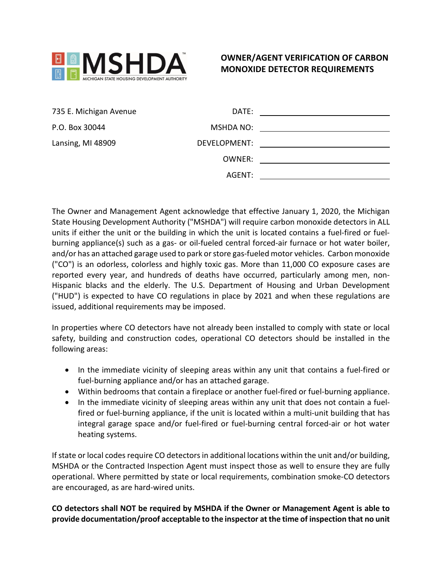

## **OWNER/AGENT VERIFICATION OF CARBON MONOXIDE DETECTOR REQUIREMENTS**

| 735 E. Michigan Avenue | DATE:        |                                                   |
|------------------------|--------------|---------------------------------------------------|
| P.O. Box 30044         | MSHDA NO:    |                                                   |
| Lansing, MI 48909      | DEVELOPMENT: | <u> 1980 - John Stone, amerikansk politiker (</u> |
|                        | OWNER:       |                                                   |
|                        | AGENT:       |                                                   |

The Owner and Management Agent acknowledge that effective January 1, 2020, the Michigan State Housing Development Authority ("MSHDA") will require carbon monoxide detectors in ALL units if either the unit or the building in which the unit is located contains a fuel-fired or fuelburning appliance(s) such as a gas- or oil-fueled central forced-air furnace or hot water boiler, and/or has an attached garage used to park or store gas-fueled motor vehicles. Carbon monoxide ("CO") is an odorless, colorless and highly toxic gas. More than 11,000 CO exposure cases are reported every year, and hundreds of deaths have occurred, particularly among men, non-Hispanic blacks and the elderly. The U.S. Department of Housing and Urban Development ("HUD") is expected to have CO regulations in place by 2021 and when these regulations are issued, additional requirements may be imposed.

In properties where CO detectors have not already been installed to comply with state or local safety, building and construction codes, operational CO detectors should be installed in the following areas:

- In the immediate vicinity of sleeping areas within any unit that contains a fuel-fired or fuel-burning appliance and/or has an attached garage.
- Within bedrooms that contain a fireplace or another fuel-fired or fuel-burning appliance.
- In the immediate vicinity of sleeping areas within any unit that does not contain a fuelfired or fuel-burning appliance, if the unit is located within a multi-unit building that has integral garage space and/or fuel-fired or fuel-burning central forced-air or hot water heating systems.

If state or local codes require CO detectors in additional locations within the unit and/or building, MSHDA or the Contracted Inspection Agent must inspect those as well to ensure they are fully operational. Where permitted by state or local requirements, combination smoke-CO detectors are encouraged, as are hard-wired units.

## **CO detectors shall NOT be required by MSHDA if the Owner or Management Agent is able to provide documentation/proof acceptable to the inspector at the time of inspection that no unit**